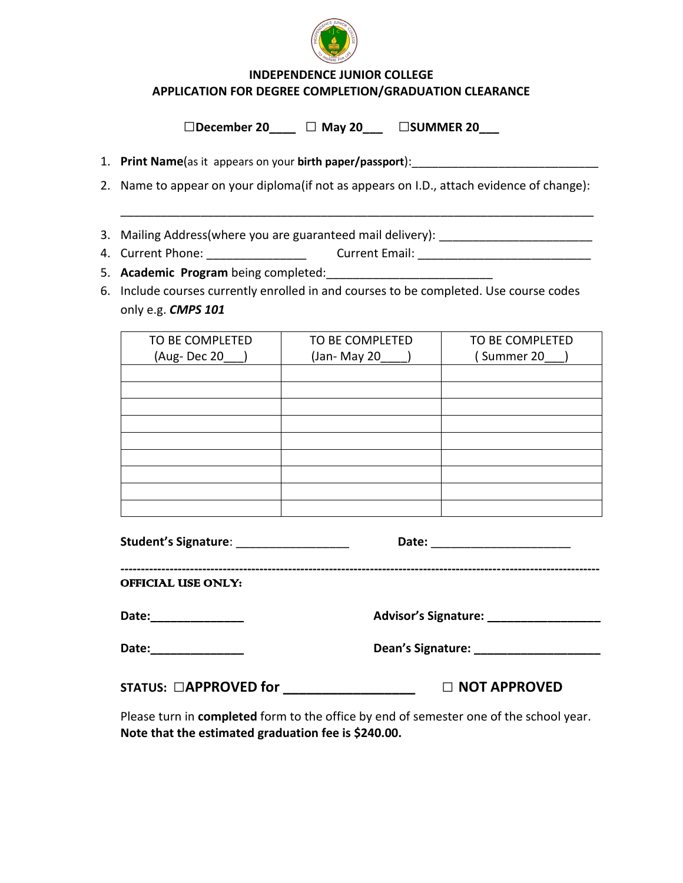

## **INDEPENDENCE JUNIOR COLLEGE APPLICATION FOR DEGREE COMPLETION/GRADUATION CLEARANCE**

**□December 20\_\_\_\_ □ May 20\_\_\_ □SUMMER 20\_\_\_**

1. **Print Name**(as it appears on your **birth paper/passport**):

2. Name to appear on your diploma(if not as appears on I.D., attach evidence of change):

\_\_\_\_\_\_\_\_\_\_\_\_\_\_\_\_\_\_\_\_\_\_\_\_\_\_\_\_\_\_\_\_\_\_\_\_\_\_\_\_\_\_\_\_\_\_\_\_\_\_\_\_\_\_\_\_\_\_\_\_\_\_\_\_\_\_\_\_\_\_\_

- 3. Mailing Address(where you are guaranteed mail delivery): \_\_\_\_\_\_\_\_\_\_\_\_\_\_\_\_\_\_\_\_
- 4. Current Phone: \_\_\_\_\_\_\_\_\_\_\_\_\_\_\_ Current Email: \_\_\_\_\_\_\_\_\_\_\_\_\_\_\_\_\_\_\_\_\_\_\_\_\_\_
- 5. **Academic Program** being completed:
- 6. Include courses currently enrolled in and courses to be completed. Use course codes only e.g. *CMPS 101*

| TO BE COMPLETED | TO BE COMPLETED | TO BE COMPLETED |
|-----------------|-----------------|-----------------|
| (Aug-Dec 20     | (Jan-May 20     | Summer 20       |
|                 |                 |                 |
|                 |                 |                 |
|                 |                 |                 |
|                 |                 |                 |
|                 |                 |                 |
|                 |                 |                 |
|                 |                 |                 |
|                 |                 |                 |
|                 |                 |                 |

| Student's Signature: __________________ | Date:                       |
|-----------------------------------------|-----------------------------|
| <b>OFFICIAL USE ONLY:</b>               |                             |
| Date:                                   | <b>Advisor's Signature:</b> |
| Date:                                   | Dean's Signature:           |
| STATUS: □APPROVED for                   | $\Box$ NOT APPROVED         |

Please turn in **completed** form to the office by end of semester one of the school year. **Note that the estimated graduation fee is \$240.00.**